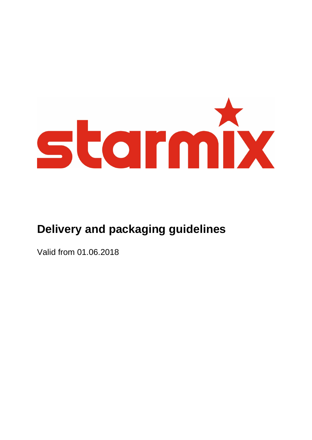

# **Delivery and packaging guidelines**

Valid from 01.06.2018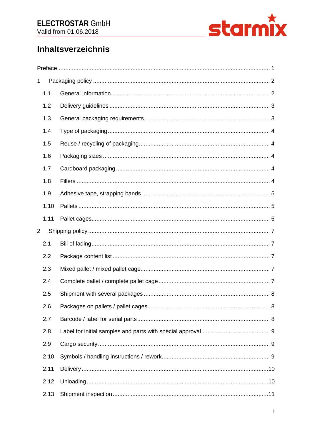

# **Inhaltsverzeichnis**

| 1              |      |  |  |
|----------------|------|--|--|
|                | 1.1  |  |  |
|                | 1.2  |  |  |
|                | 1.3  |  |  |
|                | 1.4  |  |  |
|                | 1.5  |  |  |
|                | 1.6  |  |  |
|                | 1.7  |  |  |
|                | 1.8  |  |  |
|                | 1.9  |  |  |
|                | 1.10 |  |  |
|                | 1.11 |  |  |
| $\overline{2}$ |      |  |  |
|                | 2.1  |  |  |
|                | 2.2  |  |  |
|                | 2.3  |  |  |
|                | 2.4  |  |  |
|                | 2.5  |  |  |
|                | 2.6  |  |  |
|                | 2.7  |  |  |
|                | 2.8  |  |  |
|                | 2.9  |  |  |
|                | 2.10 |  |  |
|                | 2.11 |  |  |
|                | 2.12 |  |  |
|                | 2.13 |  |  |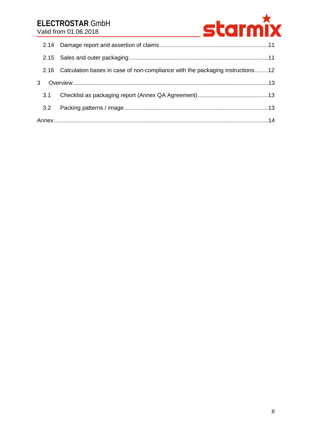# **ELECTROSTAR** GmbH Valid from 01.06.2018



|     | 2.16 Calculation bases in case of non-compliance with the packaging instructions12 |  |
|-----|------------------------------------------------------------------------------------|--|
| 3   |                                                                                    |  |
| 3.1 |                                                                                    |  |
| 3.2 |                                                                                    |  |
|     |                                                                                    |  |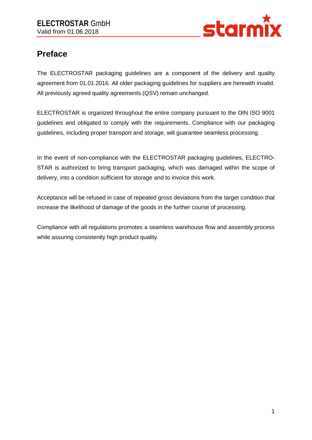

# <span id="page-3-0"></span>**Preface**

The ELECTROSTAR packaging guidelines are a component of the delivery and quality agreement from 01.01.2016. All older packaging guidelines for suppliers are herewith invalid. All previously agreed quality agreements (QSV) remain unchanged.

ELECTROSTAR is organized throughout the entire company pursuant to the DIN ISO 9001 guidelines and obligated to comply with the requirements. Compliance with our packaging guidelines, including proper transport and storage, will guarantee seamless processing.

In the event of non-compliance with the ELECTROSTAR packaging guidelines, ELECTRO-STAR is authorized to bring transport packaging, which was damaged within the scope of delivery, into a condition sufficient for storage and to invoice this work.

Acceptance will be refused in case of repeated gross deviations from the target condition that increase the likelihood of damage of the goods in the further course of processing.

Compliance with all regulations promotes a seamless warehouse flow and assembly process while assuring consistently high product quality.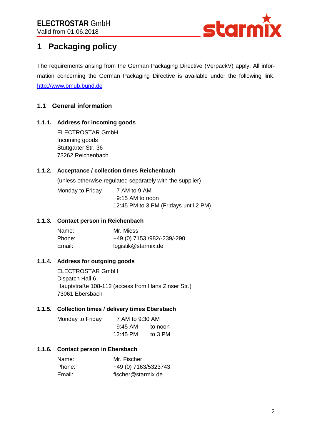

# <span id="page-4-0"></span>**1 Packaging policy**

The requirements arising from the German Packaging Directive (VerpackV) apply. All information concerning the German Packaging Directive is available under the following link: [http://www.bmub.bund.de](http://www.bmub.bund.de/)

# <span id="page-4-1"></span>**1.1 General information**

#### **1.1.1. Address for incoming goods**

ELECTROSTAR GmbH Incoming goods Stuttgarter Str. 36 73262 Reichenbach

#### **1.1.2. Acceptance / collection times Reichenbach**

(unless otherwise regulated separately with the supplier)

Monday to Friday 7 AM to 9 AM

 9:15 AM to noon 12:45 PM to 3 PM (Fridays until 2 PM)

#### **1.1.3. Contact person in Reichenbach**

| Name:  | Mr. Miess                   |
|--------|-----------------------------|
| Phone: | +49 (0) 7153 /982/-239/-290 |
| Email: | logistik@starmix.de         |

#### **1.1.4. Address for outgoing goods**

ELECTROSTAR GmbH Dispatch Hall 6 Hauptstraße 108-112 (access from Hans Zinser Str.) 73061 Ebersbach

#### **1.1.5. Collection times / delivery times Ebersbach**

| Monday to Friday | 7 AM to 9:30 AM |         |
|------------------|-----------------|---------|
|                  | $9:45$ AM       | to noon |
|                  | 12:45 PM        | to 3 PM |

#### **1.1.6. Contact person in Ebersbach**

| Name:  | Mr. Fischer          |
|--------|----------------------|
| Phone: | +49 (0) 7163/5323743 |
| Email: | fischer@starmix.de   |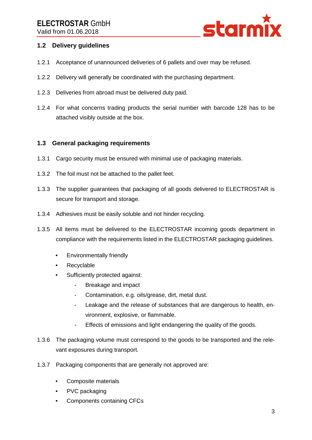

## <span id="page-5-0"></span>**1.2 Delivery guidelines**

- 1.2.1 Acceptance of unannounced deliveries of 6 pallets and over may be refused.
- 1.2.2 Delivery will generally be coordinated with the purchasing department.
- 1.2.3 Deliveries from abroad must be delivered duty paid.
- 1.2.4 For what concerns trading products the serial number with barcode 128 has to be attached visibly outside at the box.

#### <span id="page-5-1"></span>**1.3 General packaging requirements**

- 1.3.1 Cargo security must be ensured with minimal use of packaging materials.
- 1.3.2 The foil must not be attached to the pallet feet.
- 1.3.3 The supplier guarantees that packaging of all goods delivered to ELECTROSTAR is secure for transport and storage.
- 1.3.4 Adhesives must be easily soluble and not hinder recycling.
- 1.3.5 All items must be delivered to the ELECTROSTAR incoming goods department in compliance with the requirements listed in the ELECTROSTAR packaging guidelines.
	- Environmentally friendly
	- Recyclable
	- Sufficiently protected against:
		- Breakage and impact
		- Contamination, e.g. oils/grease, dirt, metal dust.
		- Leakage and the release of substances that are dangerous to health, environment, explosive, or flammable.
		- Effects of emissions and light endangering the quality of the goods.
- 1.3.6 The packaging volume must correspond to the goods to be transported and the relevant exposures during transport.
- 1.3.7 Packaging components that are generally not approved are:
	- Composite materials
	- PVC packaging
	- Components containing CFCs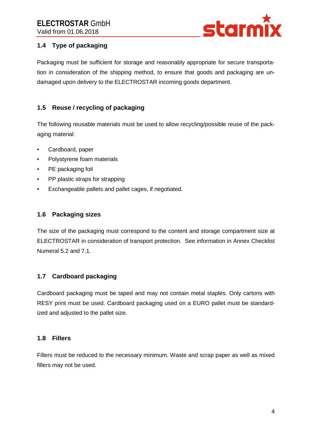

# <span id="page-6-0"></span>**1.4 Type of packaging**

Packaging must be sufficient for storage and reasonably appropriate for secure transportation in consideration of the shipping method, to ensure that goods and packaging are undamaged upon delivery to the ELECTROSTAR incoming goods department.

# <span id="page-6-1"></span>**1.5 Reuse / recycling of packaging**

The following reusable materials must be used to allow recycling/possible reuse of the packaging material:

- Cardboard, paper
- Polystyrene foam materials
- PE packaging foil
- PP plastic straps for strapping
- Exchangeable pallets and pallet cages, if negotiated.

### <span id="page-6-2"></span>**1.6 Packaging sizes**

The size of the packaging must correspond to the content and storage compartment size at ELECTROSTAR in consideration of transport protection. See information in Annex Checklist Numeral 5.2 and 7.1.

## <span id="page-6-3"></span>**1.7 Cardboard packaging**

Cardboard packaging must be taped and may not contain metal staples. Only cartons with RESY print must be used. Cardboard packaging used on a EURO pallet must be standardized and adjusted to the pallet size.

#### <span id="page-6-4"></span>**1.8 Fillers**

Fillers must be reduced to the necessary minimum. Waste and scrap paper as well as mixed fillers may not be used.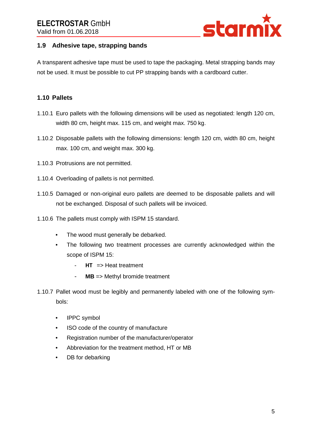

## <span id="page-7-0"></span>**1.9 Adhesive tape, strapping bands**

A transparent adhesive tape must be used to tape the packaging. Metal strapping bands may not be used. It must be possible to cut PP strapping bands with a cardboard cutter.

## <span id="page-7-1"></span>**1.10 Pallets**

- 1.10.1 Euro pallets with the following dimensions will be used as negotiated: length 120 cm, width 80 cm, height max. 115 cm, and weight max. 750 kg.
- 1.10.2 Disposable pallets with the following dimensions: length 120 cm, width 80 cm, height max. 100 cm, and weight max. 300 kg.
- 1.10.3 Protrusions are not permitted.
- 1.10.4 Overloading of pallets is not permitted.
- 1.10.5 Damaged or non-original euro pallets are deemed to be disposable pallets and will not be exchanged. Disposal of such pallets will be invoiced.
- 1.10.6 The pallets must comply with ISPM 15 standard.
	- The wood must generally be debarked.
	- The following two treatment processes are currently acknowledged within the scope of ISPM 15:
		- **HT** => Heat treatment
		- **MB** => Methyl bromide treatment
- 1.10.7 Pallet wood must be legibly and permanently labeled with one of the following symbols:
	- IPPC symbol
	- ISO code of the country of manufacture
	- Registration number of the manufacturer/operator
	- Abbreviation for the treatment method, HT or MB
	- DB for debarking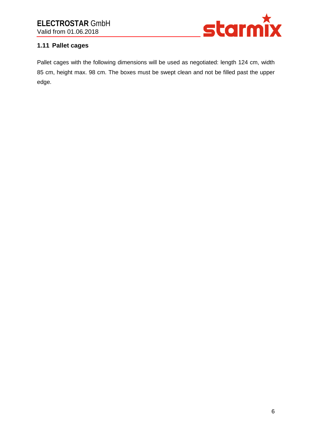

# <span id="page-8-0"></span>**1.11 Pallet cages**

Pallet cages with the following dimensions will be used as negotiated: length 124 cm, width 85 cm, height max. 98 cm. The boxes must be swept clean and not be filled past the upper edge.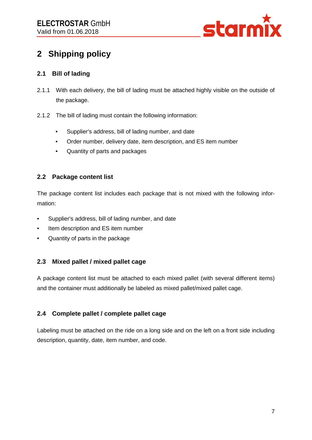

# <span id="page-9-0"></span>**2 Shipping policy**

# <span id="page-9-1"></span>**2.1 Bill of lading**

- 2.1.1 With each delivery, the bill of lading must be attached highly visible on the outside of the package.
- 2.1.2 The bill of lading must contain the following information:
	- Supplier's address, bill of lading number, and date
	- Order number, delivery date, item description, and ES item number
	- Quantity of parts and packages

## <span id="page-9-2"></span>**2.2 Package content list**

The package content list includes each package that is not mixed with the following information:

- Supplier's address, bill of lading number, and date
- Item description and ES item number
- Quantity of parts in the package

## <span id="page-9-3"></span>**2.3 Mixed pallet / mixed pallet cage**

A package content list must be attached to each mixed pallet (with several different items) and the container must additionally be labeled as mixed pallet/mixed pallet cage.

## <span id="page-9-4"></span>**2.4 Complete pallet / complete pallet cage**

Labeling must be attached on the ride on a long side and on the left on a front side including description, quantity, date, item number, and code.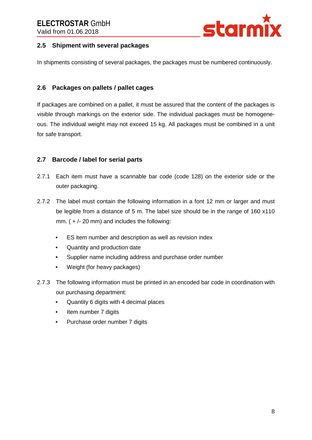

### <span id="page-10-0"></span>**2.5 Shipment with several packages**

In shipments consisting of several packages, the packages must be numbered continuously.

### <span id="page-10-1"></span>**2.6 Packages on pallets / pallet cages**

If packages are combined on a pallet, it must be assured that the content of the packages is visible through markings on the exterior side. The individual packages must be homogeneous. The individual weight may not exceed 15 kg. All packages must be combined in a unit for safe transport.

#### <span id="page-10-2"></span>**2.7 Barcode / label for serial parts**

- 2.7.1 Each item must have a scannable bar code (code 128) on the exterior side or the outer packaging.
- 2.7.2 The label must contain the following information in a font 12 mm or larger and must be legible from a distance of 5 m. The label size should be in the range of 160 x110 mm.  $(+/- 20$  mm) and includes the following:
	- ES item number and description as well as revision index
	- Quantity and production date
	- Supplier name including address and purchase order number
	- Weight (for heavy packages)
- 2.7.3 The following information must be printed in an encoded bar code in coordination with our purchasing department:
	- Quantity 6 digits with 4 decimal places
	- Item number 7 digits
	- Purchase order number 7 digits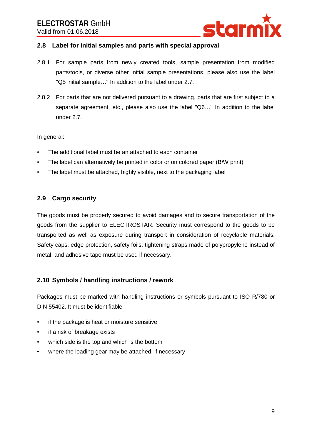

#### <span id="page-11-0"></span>**2.8 Label for initial samples and parts with special approval**

- 2.8.1 For sample parts from newly created tools, sample presentation from modified parts/tools, or diverse other initial sample presentations, please also use the label "Q5 initial sample…" In addition to the label under 2.7.
- 2.8.2 For parts that are not delivered pursuant to a drawing, parts that are first subject to a separate agreement, etc., please also use the label "Q6…" In addition to the label under 2.7.

#### In general:

- The additional label must be an attached to each container
- The label can alternatively be printed in color or on colored paper (B/W print)
- The label must be attached, highly visible, next to the packaging label

#### <span id="page-11-1"></span>**2.9 Cargo security**

The goods must be properly secured to avoid damages and to secure transportation of the goods from the supplier to ELECTROSTAR. Security must correspond to the goods to be transported as well as exposure during transport in consideration of recyclable materials. Safety caps, edge protection, safety foils, tightening straps made of polypropylene instead of metal, and adhesive tape must be used if necessary.

#### <span id="page-11-2"></span>**2.10 Symbols / handling instructions / rework**

Packages must be marked with handling instructions or symbols pursuant to ISO R/780 or DIN 55402. It must be identifiable

- if the package is heat or moisture sensitive
- if a risk of breakage exists
- which side is the top and which is the bottom
- where the loading gear may be attached, if necessary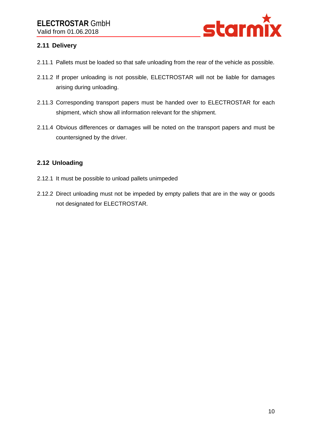

# <span id="page-12-0"></span>**2.11 Delivery**

- 2.11.1 Pallets must be loaded so that safe unloading from the rear of the vehicle as possible.
- 2.11.2 If proper unloading is not possible, ELECTROSTAR will not be liable for damages arising during unloading.
- 2.11.3 Corresponding transport papers must be handed over to ELECTROSTAR for each shipment, which show all information relevant for the shipment.
- 2.11.4 Obvious differences or damages will be noted on the transport papers and must be countersigned by the driver.

## <span id="page-12-1"></span>**2.12 Unloading**

- 2.12.1 It must be possible to unload pallets unimpeded
- 2.12.2 Direct unloading must not be impeded by empty pallets that are in the way or goods not designated for ELECTROSTAR.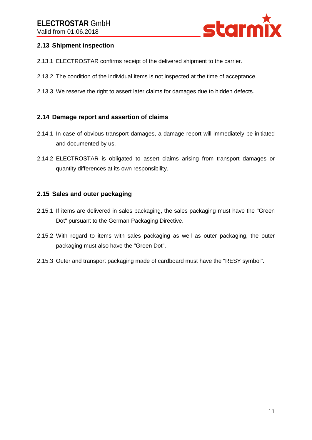

### <span id="page-13-0"></span>**2.13 Shipment inspection**

- 2.13.1 ELECTROSTAR confirms receipt of the delivered shipment to the carrier.
- 2.13.2 The condition of the individual items is not inspected at the time of acceptance.
- 2.13.3 We reserve the right to assert later claims for damages due to hidden defects.

#### <span id="page-13-1"></span>**2.14 Damage report and assertion of claims**

- 2.14.1 In case of obvious transport damages, a damage report will immediately be initiated and documented by us.
- 2.14.2 ELECTROSTAR is obligated to assert claims arising from transport damages or quantity differences at its own responsibility.

#### <span id="page-13-2"></span>**2.15 Sales and outer packaging**

- 2.15.1 If items are delivered in sales packaging, the sales packaging must have the "Green Dot" pursuant to the German Packaging Directive.
- 2.15.2 With regard to items with sales packaging as well as outer packaging, the outer packaging must also have the "Green Dot".
- 2.15.3 Outer and transport packaging made of cardboard must have the "RESY symbol".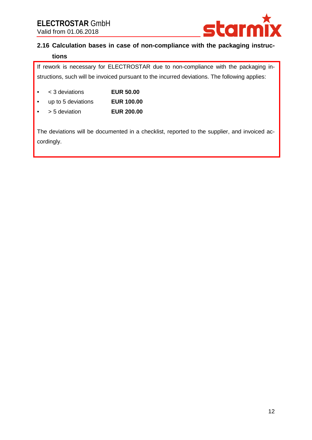

# <span id="page-14-0"></span>**2.16 Calculation bases in case of non-compliance with the packaging instructions**

If rework is necessary for ELECTROSTAR due to non-compliance with the packaging instructions, such will be invoiced pursuant to the incurred deviations. The following applies:

- < 3 deviations **EUR 50.00**
- up to 5 deviations **EUR 100.00**
- > 5 deviation **EUR 200.00**

The deviations will be documented in a checklist, reported to the supplier, and invoiced accordingly.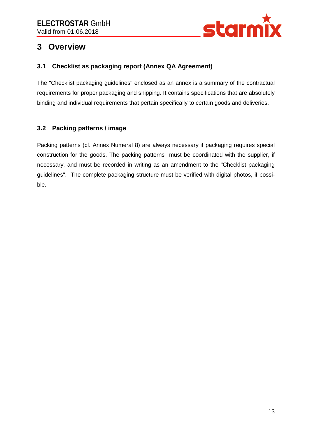

# <span id="page-15-0"></span>**3 Overview**

# <span id="page-15-1"></span>**3.1 Checklist as packaging report (Annex QA Agreement)**

The "Checklist packaging guidelines" enclosed as an annex is a summary of the contractual requirements for proper packaging and shipping. It contains specifications that are absolutely binding and individual requirements that pertain specifically to certain goods and deliveries.

# <span id="page-15-2"></span>**3.2 Packing patterns / image**

Packing patterns (cf. Annex Numeral 8) are always necessary if packaging requires special construction for the goods. The packing patterns must be coordinated with the supplier, if necessary, and must be recorded in writing as an amendment to the "Checklist packaging guidelines". The complete packaging structure must be verified with digital photos, if possible.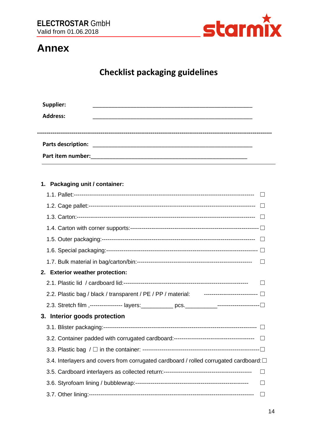

# <span id="page-16-0"></span>**Annex**

# **Checklist packaging guidelines**

| Supplier:          |  |
|--------------------|--|
| <b>Address:</b>    |  |
|                    |  |
|                    |  |
| Parts description: |  |
| Part item number:  |  |
|                    |  |

### 1. Packaging unit / container:

| 2. Exterior weather protection:                                                                     |        |
|-----------------------------------------------------------------------------------------------------|--------|
|                                                                                                     |        |
| 2.2. Plastic bag / black / transparent / PE / PP / material: ------------------------------- $\Box$ |        |
|                                                                                                     |        |
| 3. Interior goods protection                                                                        |        |
|                                                                                                     |        |
|                                                                                                     |        |
|                                                                                                     |        |
| 3.4. Interlayers and covers from corrugated cardboard / rolled corrugated cardboard: $\Box$         |        |
|                                                                                                     | $\Box$ |
|                                                                                                     |        |
|                                                                                                     |        |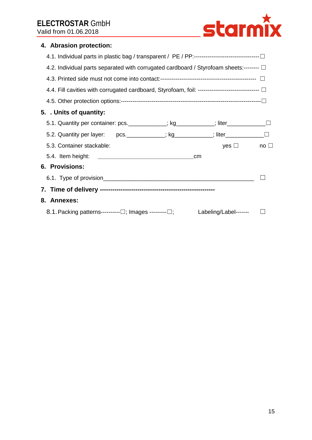

# **4. Abrasion protection:**

| 4.2. Individual parts separated with corrugated cardboard / Styrofoam sheets:-------- $\Box$         |                      |  |  |
|------------------------------------------------------------------------------------------------------|----------------------|--|--|
|                                                                                                      |                      |  |  |
| 4.4. Fill cavities with corrugated cardboard, Styrofoam, foil: ----------------------------------- [ |                      |  |  |
|                                                                                                      |                      |  |  |
| 5. . Units of quantity:                                                                              |                      |  |  |
| 5.1. Quantity per container: pcs. ___________; kg__________; liter______________                     |                      |  |  |
| 5.2. Quantity per layer: pcs. _________; kg_________; liter_____________________                     |                      |  |  |
| 5.3. Container stackable:                                                                            | yes $\Box$ no $\Box$ |  |  |
|                                                                                                      | cm                   |  |  |
| <b>6. Provisions:</b>                                                                                |                      |  |  |
|                                                                                                      |                      |  |  |
|                                                                                                      |                      |  |  |
| 8. Annexes:                                                                                          |                      |  |  |
| 8.1. Packing patterns--------- $\Box$ ; Images -------- $\Box$ ; Labeling/Label------- $\Box$        |                      |  |  |